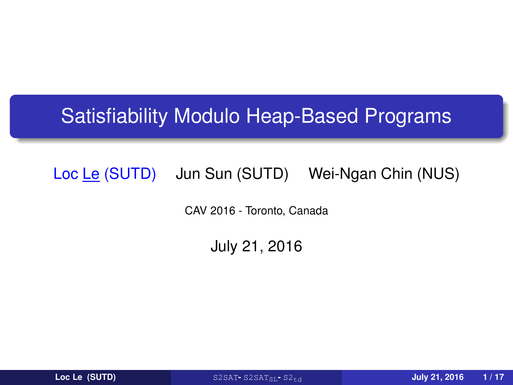## Satisfiability Modulo Heap-Based Programs

### Loc Le (SUTD) Jun Sun (SUTD) Wei-Ngan Chin (NUS)

CAV 2016 - Toronto, Canada

July 21, 2016

<span id="page-0-0"></span>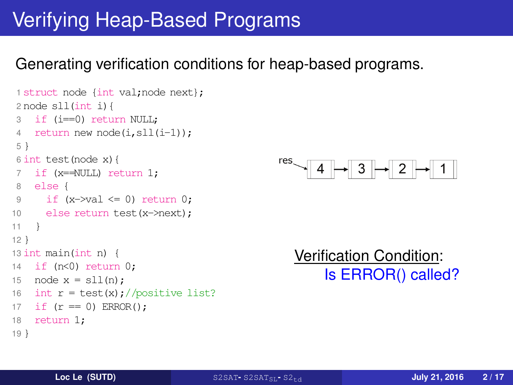# Verifying Heap-Based Programs

### Generating verification conditions for heap-based programs.

```
1 struct node {int val;node next};
2 node sll(int i){
3 if (i==0) return NULL;
4 return new node(i,sll(i-1));
5 }
6 int test(node x){
7 if (x==NULL) return 1;
8 else {
9 if (x->va] \leq 0 return 0:
10 else return test(x->next);
11 }
12 }
13 int main(int n) {
14 if (n<0) return 0;
15 node x = sll(n):
16 int r = \text{test}(x);//positive list?
17 if (r == 0) ERROR():
18 return 1;
19 }
```


Verification Condition: Is ERROR() called?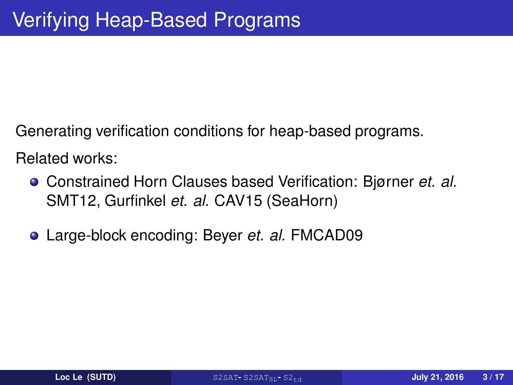Generating verification conditions for heap-based programs.

Related works:

- Constrained Horn Clauses based Verification: Bjørner *et. al.* SMT12, Gurfinkel *et. al.* CAV15 (SeaHorn)
- Large-block encoding: Beyer *et. al.* FMCAD09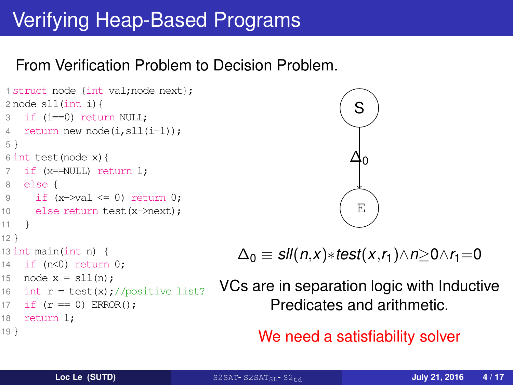# Verifying Heap-Based Programs

### From Verification Problem to Decision Problem.

```
1 struct node {int val;node next};
2 node sll(int i){
3 if (i==0) return NULL;
4 return new node(i,sll(i-1));
5 }
6 int test(node x){
7 if (x==NULL) return 1;
8 else {
9 if (x\rightarrow val \leq 0) return 0;
10 else return test(x->next);
11 }
12 }
13 int main(int n) {
14 if (n<0) return 0;
15 node x = s11(n):
16 int r = \text{test}(x)://positive list?
17 if (r == 0) ERROR();
18 return 1;
19 }
```


$$
\Delta_0 \equiv \mathit{sII}(n,x) * \mathit{test}(x,r_1) \wedge n \geq 0 \wedge r_1 = 0
$$

VCs are in separation logic with Inductive Predicates and arithmetic.

We need a satisfiability solver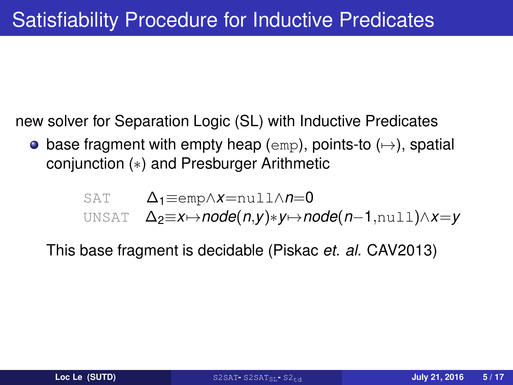new solver for Separation Logic (SL) with Inductive Predicates

• base fragment with empty heap (emp), points-to  $(\rightarrow)$ , spatial conjunction (∗) and Presburger Arithmetic

SAT 
$$
\Delta_1 \equiv \text{emp} \land x = \text{null} \land n = 0
$$
  
UNSAT  $\Delta_2 \equiv x \mapsto \text{node}(n, y) * y \mapsto \text{node}(n-1, \text{null}) \land x = y$ 

This base fragment is decidable (Piskac *et. al.* CAV2013)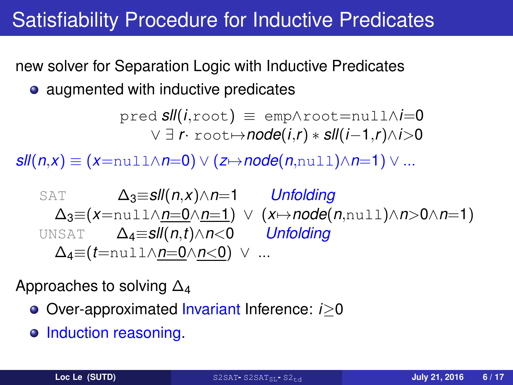# Satisfiability Procedure for Inductive Predicates

new solver for Separation Logic with Inductive Predicates

• augmented with inductive predicates

$$
\text{pred} \ \textit{sll}(i,\text{root}) \ \equiv \ \text{emp}\land \text{root} = \text{null}\land i=0 \\ \lor \ \exists \ r \cdot \text{root} \rightarrow \text{node}(i,r) * \text{sll}(i-1,r) \land i>0
$$

*sll*(*n*,*x*) ≡ (*x*=null∧*n*=0) ∨ (*z* $\mapsto$ *node*(*n*,null)∧*n*=1) ∨ ...

SAT 
$$
\Delta_3 = sll(n,x) \land n=1
$$
 Unfolding  
\n $\Delta_3 = (x = \text{null} \land \text{m=0} \land \text{m=1}) \lor (x \rightarrow \text{node}(n, \text{null}) \land n > 0 \land n=1)$   
\nUNSAT  $\Delta_4 = sll(n,t) \land n < 0$  Unfolding  
\n $\Delta_4 = (t = \text{null} \land \text{m=0} \land n < 0) \lor \dots$ 

Approaches to solving  $\Delta_4$ 

- Over-approximated Invariant Inference: *i*≥0
- o Induction reasoning.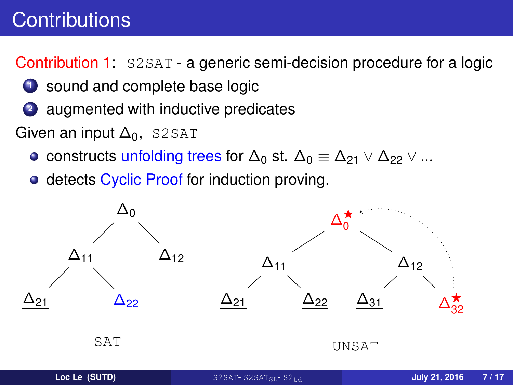# **Contributions**

Contribution 1: S2SAT - a generic semi-decision procedure for a logic

- **1** sound and complete base logic
- **<sup>2</sup>** augmented with inductive predicates
- Given an input  $\Delta_0$ , S2SAT
	- constructs unfolding trees for  $\Delta_0$  st.  $\Delta_0 \equiv \Delta_{21} \vee \Delta_{22} \vee ...$
	- detects Cyclic Proof for induction proving.

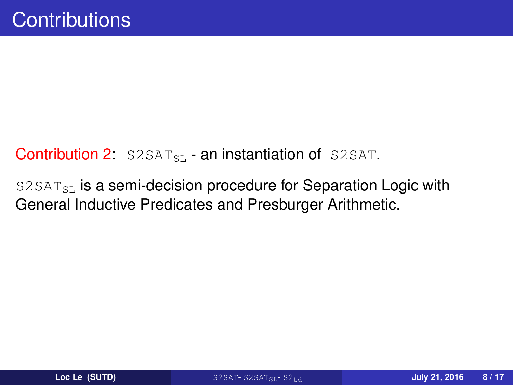### Contribution 2:  $S2SAT_{ST}$  - an instantiation of S2SAT.

 $S2SAT_{SL}$  is a semi-decision procedure for Separation Logic with General Inductive Predicates and Presburger Arithmetic.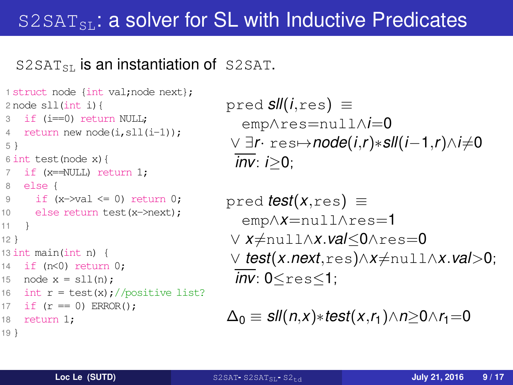## $S2SAT_{SL}$ : a solver for SL with Inductive Predicates

#### $S2SAT_{\rm SL}$  is an instantiation of S2SAT.

```
1 struct node {int val;node next};
2 node sll(int i){
3 if (i==0) return NULL;
4 return new node(i,sll(i-1));
5 }
6 int test(node x){
7 if (x==NULL) return 1;
8 else {
9 if (x=va1 \le 0) return 0:
10 else return test(x->next);
11 }
12 }
13 int main(int n) {
14 if (n<0) return 0;
15 node x = sll(n);
16 int r = \text{test}(x);//positive list?
17 if (r == 0) ERROR();
18 return 1;
19 }
```

```
pred sll(i,res) ≡
  emp∧res=null∧i=0
\lor ∃r· res→node(i,r)∗sll(i-1,r)∧i≠0
 inv: i≥0;
```

$$
\begin{array}{ll}\text{pred } \textit{test}(x, \text{res}) & \equiv \\ & \text{emp} \land x = \text{null} \land \text{res} = 1 \\ \lor \ x \neq \text{null} \land x.\textit{val} \leq 0 \land \text{res} = 0 \\ \lor \ \textit{test}(x.\textit{next}, \text{res}) \land x \neq \text{null} \land x.\textit{val} > 0; \\ & \overline{\textit{inv}} \colon 0 \leq \text{res} \leq 1;\end{array}
$$

$$
\Delta_0 \equiv \mathit{sII}(n,x) * \mathit{test}(x,r_1) \wedge n \geq 0 \wedge r_1 = 0
$$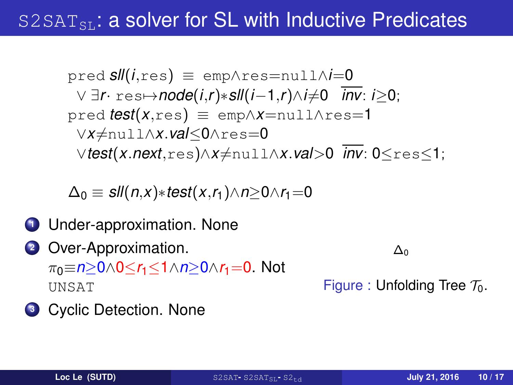## $S2SAT<sub>ST</sub>$ : a solver for SL with Inductive Predicates

$$
\text{pred sll}(i, \text{res}) \equiv \text{emp} \land \text{res} = \text{null} \land i = 0
$$
\n
$$
\lor \exists r \cdot \text{res} \mapsto \text{node}(i, r) * \text{sll}(i - 1, r) \land i \neq 0 \quad \text{inv: } i \geq 0;
$$
\n
$$
\text{pred test}(x, \text{res}) \equiv \text{emp} \land x = \text{null} \land \text{res} = 1
$$
\n
$$
\lor x \neq \text{null} \land x \cdot \text{val} \leq 0 \land \text{res} = 0
$$
\n
$$
\lor \text{test}(x.\text{next}, \text{res}) \land x \neq \text{null} \land x \cdot \text{val} > 0 \quad \text{inv: } 0 \leq \text{res} \leq 1;
$$

$$
\Delta_0 \equiv \mathit{sII}(n,x) * \mathit{test}(x,r_1) \wedge n \geq 0 \wedge r_1 = 0
$$

- **1** Under-approximation. None
- **<sup>2</sup>** Over-Approximation. π0≡*n*≥0∧0≤*r*1≤1∧*n*≥0∧*r*1=0. Not UNSAT

∆0

Figure : Unfolding Tree  $\mathcal{T}_0$ .

**<sup>3</sup>** Cyclic Detection. None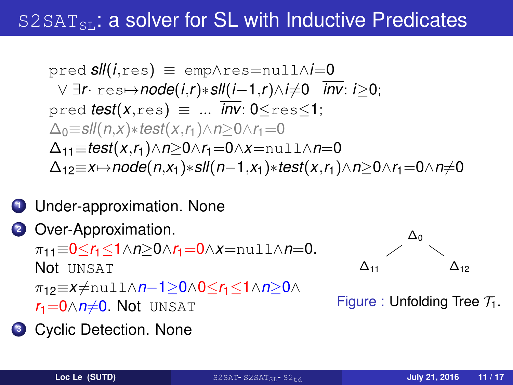## $S2SAT<sub>ST</sub>$ : a solver for SL with Inductive Predicates

$$
\text{pred sll}(i, \text{res}) \equiv \text{emp} \land \text{res} = \text{null} \land i = 0
$$
\n
$$
\lor \exists r \cdot \text{res} \mapsto \text{node}(i, r) * \text{sll}(i - 1, r) \land i \neq 0 \quad \text{inv: } i \geq 0;
$$
\n
$$
\text{pred test}(x, \text{res}) \equiv \dots \quad \text{inv: } 0 \leq \text{res} \leq 1;
$$
\n
$$
\Delta_0 = \text{sll}(n, x) * \text{test}(x, r_1) \land n \geq 0 \land r_1 = 0
$$
\n
$$
\Delta_{11} = \text{test}(x, r_1) \land n \geq 0 \land r_1 = 0 \land x = \text{null} \land n = 0
$$
\n
$$
\Delta_{12} = x \mapsto \text{node}(n, x_1) * \text{sll}(n - 1, x_1) * \text{test}(x, r_1) \land n \geq 0 \land r_1 = 0 \land n \neq 0
$$

### **<sup>1</sup>** Under-approximation. None

### **<sup>2</sup>** Over-Approximation. π11≡0≤*r*1≤1∧*n*≥0∧*r*1=0∧*x*=null∧*n*=0. Not UNSAT π12≡*x*6=null∧*n*−1≥0∧0≤*r*1≤1∧*n*≥0∧  $r_1$ =0 $\land$ *n* $\neq$ 0. Not unsat

**<sup>3</sup>** Cyclic Detection. None



Figure : Unfolding Tree  $\mathcal{T}_1$ .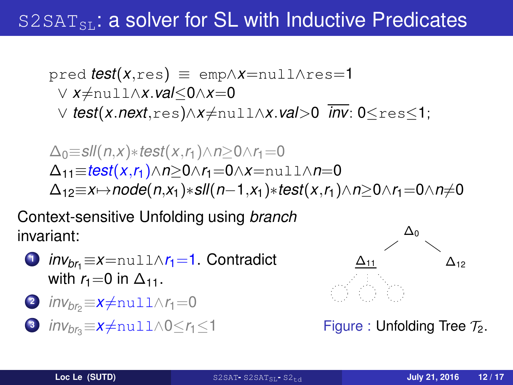## $S2SAT_{ST}$ : a solver for SL with Inductive Predicates

$$
\text{pred } \text{test}(x, \text{res}) \equiv \text{emp} \land x = \text{null} \land \text{res} = 1
$$
\n
$$
\lor x \neq \text{null} \land x.\text{val} \leq 0 \land x = 0
$$
\n
$$
\lor \text{test}(x.\text{next}, \text{res}) \land x \neq \text{null} \land x.\text{val} > 0 \text{ inv: } 0 \leq \text{res} \leq 1;
$$

$$
\Delta_0 \equiv \textit{sll}(n, x) * \textit{test}(x, r_1) \land n \ge 0 \land r_1 = 0
$$
\n
$$
\Delta_{11} \equiv \textit{test}(x, r_1) \land n \ge 0 \land r_1 = 0 \land x = \text{null} \land n = 0
$$
\n
$$
\Delta_{12} \equiv x \mapsto \textit{node}(n, x_1) * \textit{sll}(n-1, x_1) * \textit{test}(x, r_1) \land n \ge 0 \land r_1 = 0 \land n \ne 0
$$

Context-sensitive Unfolding using *branch* invariant:



$$
2 \text{ inv}_{br_2} \equiv x \neq \text{null} \land r_1 = 0
$$

**3** *inv<sub>br</sub>*= $x \neq$ null∧0≤*r*<sub>1</sub>≤1



Figure : Unfolding Tree  $\mathcal{T}_2$ .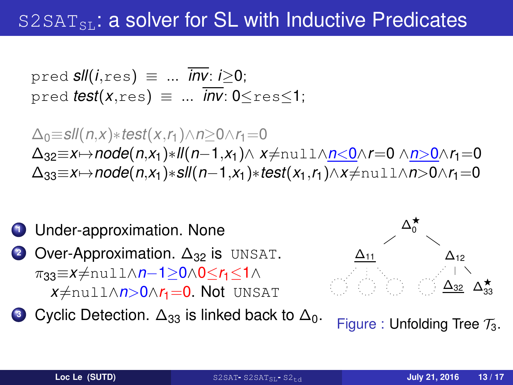## $S2SAT<sub>ST</sub>$ : a solver for SL with Inductive Predicates

$$
\text{pred} \ \mathsf{Sll}(i, \text{res}) \ \equiv \ \ldots \ \overline{\mathsf{inv}}: i \geq 0; \\
 \text{pred} \ \mathsf{test}(x, \text{res}) \ \equiv \ \ldots \ \overline{\mathsf{inv}}: 0 \leq \text{res} \leq 1;
$$

 $\Delta_0$ ≡*sll*(*n*,*x*)∗*test*(*x*,*r*<sub>1</sub>)∧*n*≥0∧*r*<sub>1</sub>=0  $\Delta_{32} \equiv x \mapsto n$ ode( $n, x_1$ )∗*ll*( $n-1, x_1$ )∧  $x \neq n$ ull∧ $n < 0 \land r = 0 \land n > 0 \land r_1 = 0$  $\Delta_{33} \equiv x \mapsto \text{node}(n, x_1) * s$ ll $(n-1, x_1) * test(x_1, r_1) \wedge x \neq \text{null} \wedge n > 0 \wedge r_1 = 0$ 



**3** Cyclic Detection. Δ<sub>33</sub> is linked back to Δ<sub>0</sub>.



Figure : Unfolding Tree  $\mathcal{T}_3$ .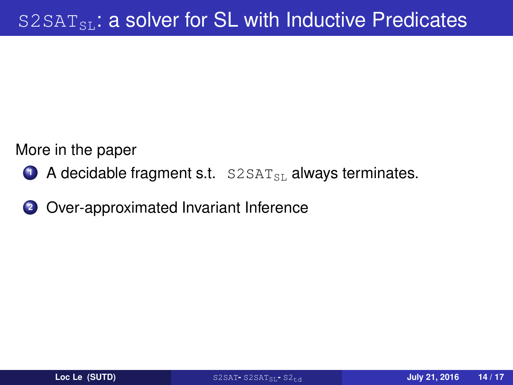More in the paper

- **1** A decidable fragment s.t. S2SAT<sub>SL</sub> always terminates.
- **<sup>2</sup>** Over-approximated Invariant Inference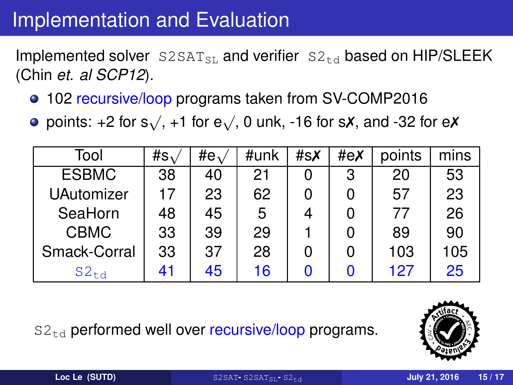# Implementation and Evaluation

Implemented solver  $S2SAT_{\text{SIL}}$  and verifier  $S2_{\text{td}}$  based on HIP/SLEEK (Chin *et. al SCP12*).

- 102 recursive/loop programs taken from SV-COMP2016
- points: +2 for s $\sqrt{ }$ , +1 for e $\sqrt{ }$ , 0 unk, -16 for s**x**, and -32 for e**x**

| Tool              | #s $\lambda$ | #e $\sqrt{ }$ | #unk | #sX | #eX | points | mins |
|-------------------|--------------|---------------|------|-----|-----|--------|------|
| <b>ESBMC</b>      | 38           | 40            | 21   | 0   | 3   | 20     | 53   |
| <b>UAutomizer</b> | 17           | 23            | 62   | 0   |     | 57     | 23   |
| SeaHorn           | 48           | 45            | 5    | 4   |     | 77     | 26   |
| <b>CBMC</b>       | 33           | 39            | 29   |     |     | 89     | 90   |
| Smack-Corral      | 33           | 37            | 28   | 0   |     | 103    | 105  |
| $S2_{\text{td}}$  | 41           | 45            | 16   |     |     | 127    | 25   |
|                   |              |               |      |     |     |        |      |

 $S2_{\text{td}}$  performed well over recursive/loop programs.

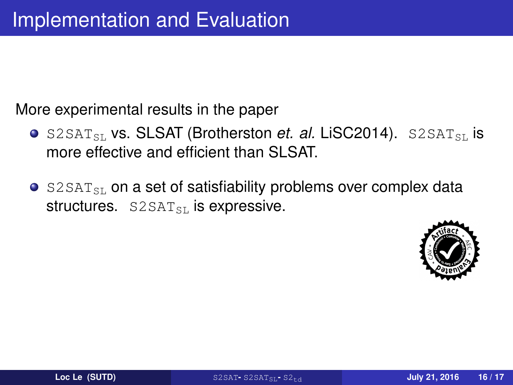More experimental results in the paper

- **o** S2SAT<sub>SL</sub> vs. SLSAT (Brotherston *et. al.* LiSC2014). S2SAT<sub>SL</sub> is more effective and efficient than SLSAT.
- $\bullet$  S2SAT<sub>SL</sub> on a set of satisfiability problems over complex data structures.  $S2SAT_{ST}$  is expressive.

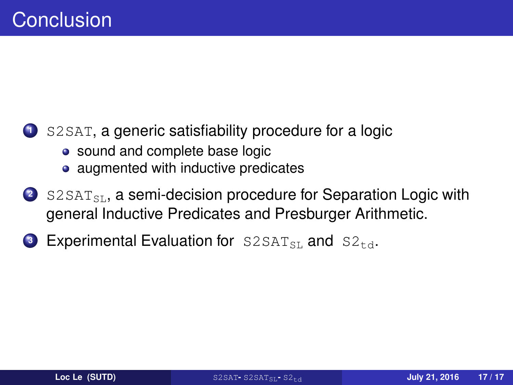### **<sup>1</sup>** S2SAT, a generic satisfiability procedure for a logic

- sound and complete base logic
- augmented with inductive predicates
- 2 S2SAT<sub>SL</sub>, a semi-decision procedure for Separation Logic with general Inductive Predicates and Presburger Arithmetic.
- **3** Experimental Evaluation for  $S2SAT_{SL}$  and  $S2_{td}$ .